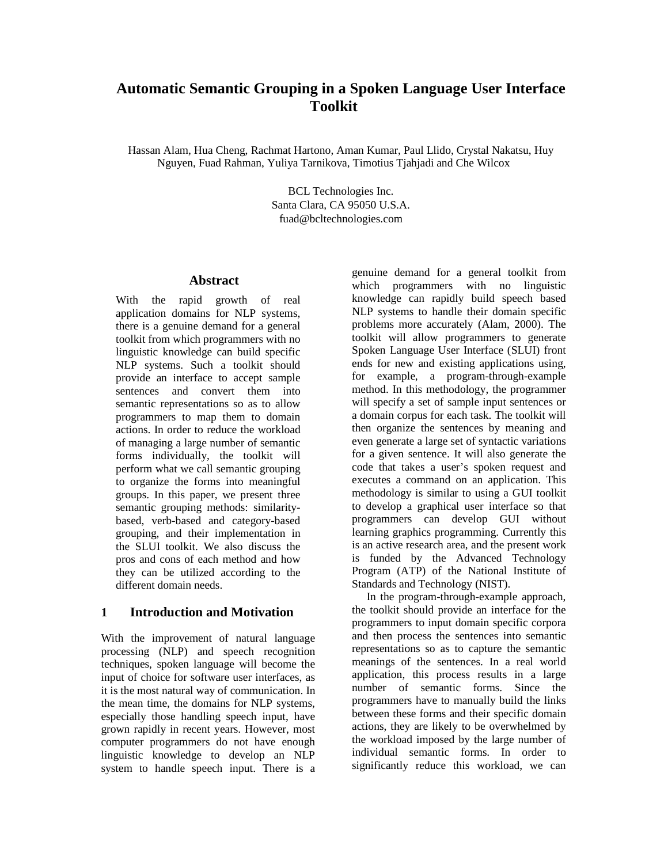# **Automatic Semantic Grouping in a Spoken Language User Interface Toolkit**

Hassan Alam, Hua Cheng, Rachmat Hartono, Aman Kumar, Paul Llido, Crystal Nakatsu, Huy Nguyen, Fuad Rahman, Yuliya Tarnikova, Timotius Tjahjadi and Che Wilcox

> BCL Technologies Inc. Santa Clara, CA 95050 U.S.A. fuad@bcltechnologies.com

#### **Abstract**

With the rapid growth of real application domains for NLP systems, there is a genuine demand for a general toolkit from which programmers with no linguistic knowledge can build specific NLP systems. Such a toolkit should provide an interface to accept sample sentences and convert them into semantic representations so as to allow programmers to map them to domain actions. In order to reduce the workload of managing a large number of semantic forms individually, the toolkit will perform what we call semantic grouping to organize the forms into meaningful groups. In this paper, we present three semantic grouping methods: similaritybased, verb-based and category-based grouping, and their implementation in the SLUI toolkit. We also discuss the pros and cons of each method and how they can be utilized according to the different domain needs.

## **1 Introduction and Motivation**

With the improvement of natural language processing (NLP) and speech recognition techniques, spoken language will become the input of choice for software user interfaces, as it is the most natural way of communication. In the mean time, the domains for NLP systems, especially those handling speech input, have grown rapidly in recent years. However, most computer programmers do not have enough linguistic knowledge to develop an NLP system to handle speech input. There is a genuine demand for a general toolkit from which programmers with no linguistic knowledge can rapidly build speech based NLP systems to handle their domain specific problems more accurately (Alam, 2000). The toolkit will allow programmers to generate Spoken Language User Interface (SLUI) front ends for new and existing applications using, for example, a program-through-example method. In this methodology, the programmer will specify a set of sample input sentences or a domain corpus for each task. The toolkit will then organize the sentences by meaning and even generate a large set of syntactic variations for a given sentence. It will also generate the code that takes a user's spoken request and executes a command on an application. This methodology is similar to using a GUI toolkit to develop a graphical user interface so that programmers can develop GUI without learning graphics programming. Currently this is an active research area, and the present work is funded by the Advanced Technology Program (ATP) of the National Institute of Standards and Technology (NIST).

In the program-through-example approach, the toolkit should provide an interface for the programmers to input domain specific corpora and then process the sentences into semantic representations so as to capture the semantic meanings of the sentences. In a real world application, this process results in a large number of semantic forms. Since the programmers have to manually build the links between these forms and their specific domain actions, they are likely to be overwhelmed by the workload imposed by the large number of individual semantic forms. In order to significantly reduce this workload, we can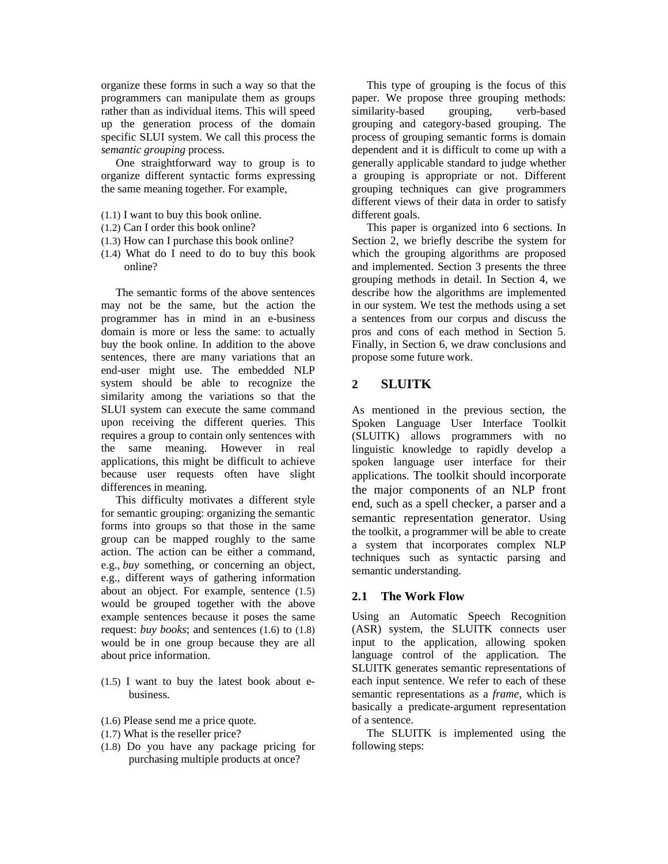organize these forms in such a way so that the programmers can manipulate them as groups rather than as individual items. This will speed up the generation process of the domain specific SLUI system. We call this process the *semantic grouping* process.

One straightforward way to group is to organize different syntactic forms expressing the same meaning together. For example,

- (1.1) I want to buy this book online.
- (1.2) Can I order this book online?
- (1.3) How can I purchase this book online?
- (1.4) What do I need to do to buy this book online?

The semantic forms of the above sentences may not be the same, but the action the programmer has in mind in an e-business domain is more or less the same: to actually buy the book online. In addition to the above sentences, there are many variations that an end-user might use. The embedded NLP system should be able to recognize the similarity among the variations so that the SLUI system can execute the same command upon receiving the different queries. This requires a group to contain only sentences with the same meaning. However in real applications, this might be difficult to achieve because user requests often have slight differences in meaning.

This difficulty motivates a different style for semantic grouping: organizing the semantic forms into groups so that those in the same group can be mapped roughly to the same action. The action can be either a command, e.g., *buy* something, or concerning an object, e.g., different ways of gathering information about an object. For example, sentence (1.5) would be grouped together with the above example sentences because it poses the same request: *buy books*; and sentences (1.6) to (1.8) would be in one group because they are all about price information.

- (1.5) I want to buy the latest book about ebusiness.
- (1.6) Please send me a price quote.
- (1.7) What is the reseller price?
- (1.8) Do you have any package pricing for purchasing multiple products at once?

This type of grouping is the focus of this paper. We propose three grouping methods: similarity-based grouping, verb-based grouping and category-based grouping. The process of grouping semantic forms is domain dependent and it is difficult to come up with a generally applicable standard to judge whether a grouping is appropriate or not. Different grouping techniques can give programmers different views of their data in order to satisfy different goals.

This paper is organized into 6 sections. In Section 2, we briefly describe the system for which the grouping algorithms are proposed and implemented. Section 3 presents the three grouping methods in detail. In Section 4, we describe how the algorithms are implemented in our system. We test the methods using a set a sentences from our corpus and discuss the pros and cons of each method in Section 5. Finally, in Section 6, we draw conclusions and propose some future work.

## **2 SLUITK**

As mentioned in the previous section, the Spoken Language User Interface Toolkit (SLUITK) allows programmers with no linguistic knowledge to rapidly develop a spoken language user interface for their applications. The toolkit should incorporate the major components of an NLP front end, such as a spell checker, a parser and a semantic representation generator. Using the toolkit, a programmer will be able to create a system that incorporates complex NLP techniques such as syntactic parsing and semantic understanding.

#### **2.1 The Work Flow**

Using an Automatic Speech Recognition (ASR) system, the SLUITK connects user input to the application, allowing spoken language control of the application. The SLUITK generates semantic representations of each input sentence. We refer to each of these semantic representations as a *frame*, which is basically a predicate-argument representation of a sentence.

The SLUITK is implemented using the following steps: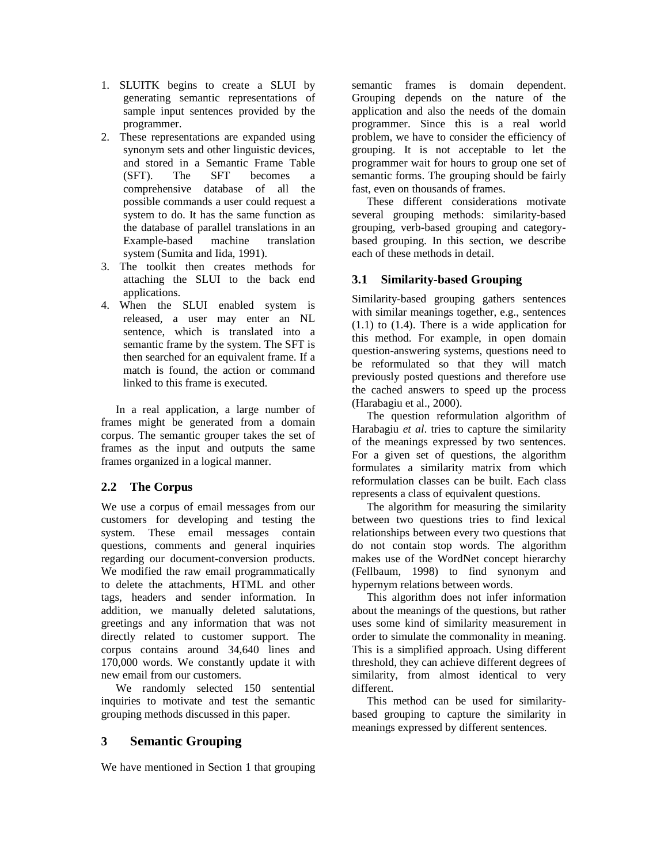- 1. SLUITK begins to create a SLUI by generating semantic representations of sample input sentences provided by the programmer.
- 2. These representations are expanded using synonym sets and other linguistic devices, and stored in a Semantic Frame Table (SFT). The SFT becomes a comprehensive database of all the possible commands a user could request a system to do. It has the same function as the database of parallel translations in an Example-based machine translation system (Sumita and Iida, 1991).
- 3. The toolkit then creates methods for attaching the SLUI to the back end applications.
- 4. When the SLUI enabled system is released, a user may enter an NL sentence, which is translated into a semantic frame by the system. The SFT is then searched for an equivalent frame. If a match is found, the action or command linked to this frame is executed.

In a real application, a large number of frames might be generated from a domain corpus. The semantic grouper takes the set of frames as the input and outputs the same frames organized in a logical manner.

## **2.2 The Corpus**

We use a corpus of email messages from our customers for developing and testing the system. These email messages contain questions, comments and general inquiries regarding our document-conversion products. We modified the raw email programmatically to delete the attachments, HTML and other tags, headers and sender information. In addition, we manually deleted salutations, greetings and any information that was not directly related to customer support. The corpus contains around 34,640 lines and 170,000 words. We constantly update it with new email from our customers.

We randomly selected 150 sentential inquiries to motivate and test the semantic grouping methods discussed in this paper.

# **3 Semantic Grouping**

We have mentioned in Section 1 that grouping

semantic frames is domain dependent. Grouping depends on the nature of the application and also the needs of the domain programmer. Since this is a real world problem, we have to consider the efficiency of grouping. It is not acceptable to let the programmer wait for hours to group one set of semantic forms. The grouping should be fairly fast, even on thousands of frames.

These different considerations motivate several grouping methods: similarity-based grouping, verb-based grouping and categorybased grouping. In this section, we describe each of these methods in detail.

# **3.1 Similarity-based Grouping**

Similarity-based grouping gathers sentences with similar meanings together, e.g., sentences (1.1) to (1.4). There is a wide application for this method. For example, in open domain question-answering systems, questions need to be reformulated so that they will match previously posted questions and therefore use the cached answers to speed up the process (Harabagiu et al., 2000).

The question reformulation algorithm of Harabagiu *et al*. tries to capture the similarity of the meanings expressed by two sentences. For a given set of questions, the algorithm formulates a similarity matrix from which reformulation classes can be built. Each class represents a class of equivalent questions.

The algorithm for measuring the similarity between two questions tries to find lexical relationships between every two questions that do not contain stop words. The algorithm makes use of the WordNet concept hierarchy (Fellbaum, 1998) to find synonym and hypernym relations between words.

This algorithm does not infer information about the meanings of the questions, but rather uses some kind of similarity measurement in order to simulate the commonality in meaning. This is a simplified approach. Using different threshold, they can achieve different degrees of similarity, from almost identical to very different.

This method can be used for similaritybased grouping to capture the similarity in meanings expressed by different sentences.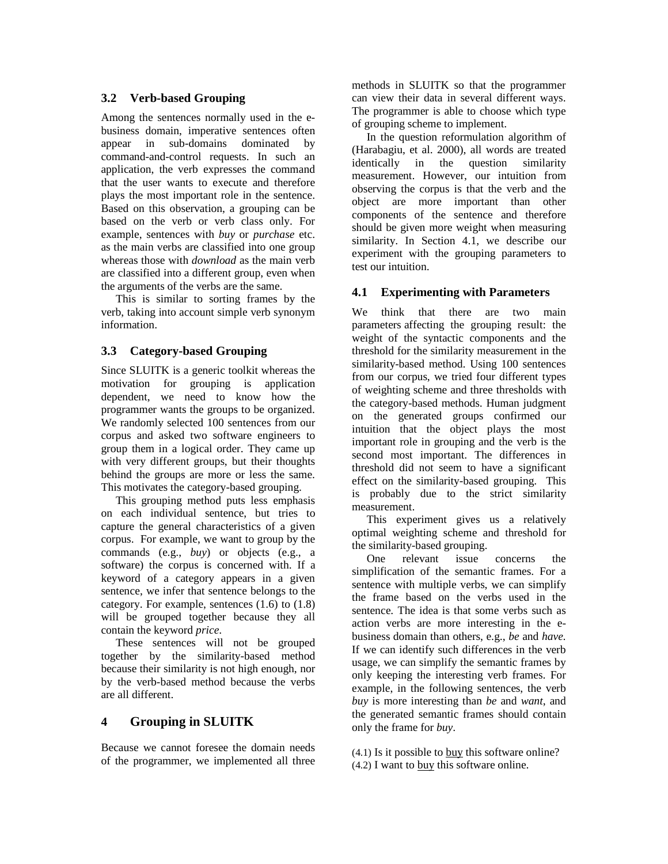## **3.2 Verb-based Grouping**

Among the sentences normally used in the ebusiness domain, imperative sentences often appear in sub-domains dominated by command-and-control requests. In such an application, the verb expresses the command that the user wants to execute and therefore plays the most important role in the sentence. Based on this observation, a grouping can be based on the verb or verb class only. For example, sentences with *buy* or *purchase* etc. as the main verbs are classified into one group whereas those with *download* as the main verb are classified into a different group, even when the arguments of the verbs are the same.

This is similar to sorting frames by the verb, taking into account simple verb synonym information.

### **3.3 Category-based Grouping**

Since SLUITK is a generic toolkit whereas the motivation for grouping is application dependent, we need to know how the programmer wants the groups to be organized. We randomly selected 100 sentences from our corpus and asked two software engineers to group them in a logical order. They came up with very different groups, but their thoughts behind the groups are more or less the same. This motivates the category-based grouping.

This grouping method puts less emphasis on each individual sentence, but tries to capture the general characteristics of a given corpus. For example, we want to group by the commands (e.g., *buy*) or objects (e.g., a software) the corpus is concerned with. If a keyword of a category appears in a given sentence, we infer that sentence belongs to the category. For example, sentences (1.6) to (1.8) will be grouped together because they all contain the keyword *price*.

These sentences will not be grouped together by the similarity-based method because their similarity is not high enough, nor by the verb-based method because the verbs are all different.

## **4 Grouping in SLUITK**

Because we cannot foresee the domain needs of the programmer, we implemented all three methods in SLUITK so that the programmer can view their data in several different ways. The programmer is able to choose which type of grouping scheme to implement.

In the question reformulation algorithm of (Harabagiu, et al. 2000), all words are treated identically in the question similarity measurement. However, our intuition from observing the corpus is that the verb and the object are more important than other components of the sentence and therefore should be given more weight when measuring similarity. In Section 4.1, we describe our experiment with the grouping parameters to test our intuition.

### **4.1 Experimenting with Parameters**

We think that there are two main parameters affecting the grouping result: the weight of the syntactic components and the threshold for the similarity measurement in the similarity-based method. Using 100 sentences from our corpus, we tried four different types of weighting scheme and three thresholds with the category-based methods. Human judgment on the generated groups confirmed our intuition that the object plays the most important role in grouping and the verb is the second most important. The differences in threshold did not seem to have a significant effect on the similarity-based grouping. This is probably due to the strict similarity measurement.

This experiment gives us a relatively optimal weighting scheme and threshold for the similarity-based grouping.

One relevant issue concerns the simplification of the semantic frames. For a sentence with multiple verbs, we can simplify the frame based on the verbs used in the sentence. The idea is that some verbs such as action verbs are more interesting in the ebusiness domain than others, e.g., *be* and *have*. If we can identify such differences in the verb usage, we can simplify the semantic frames by only keeping the interesting verb frames. For example, in the following sentences, the verb *buy* is more interesting than *be* and *want*, and the generated semantic frames should contain only the frame for *buy*.

(4.1) Is it possible to buy this software online? (4.2) I want to buy this software online.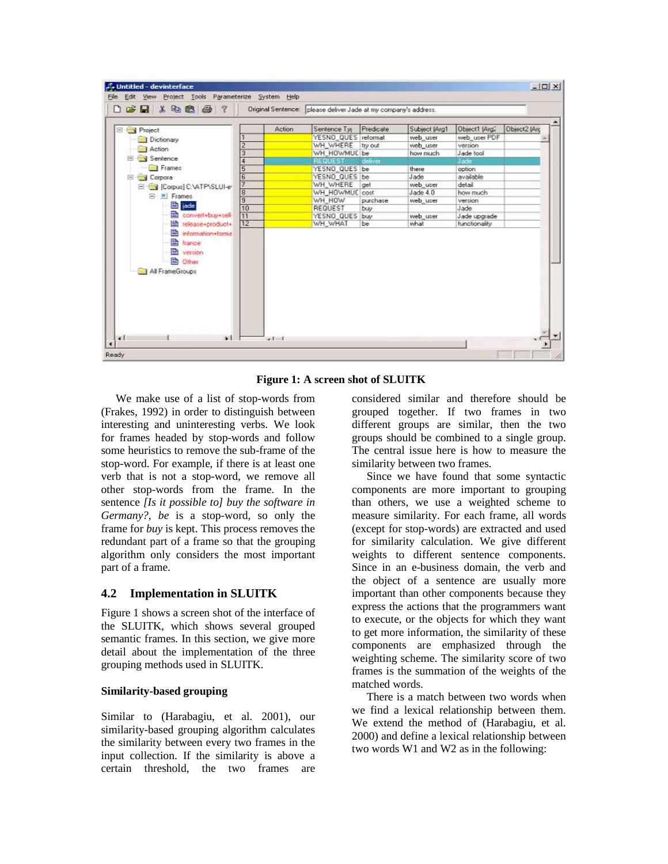| $D$ $\rightarrow$ $B$ $\rightarrow$ $B$ $B$ $\rightarrow$ $T$            |                 |               | Driginal Sentence: please deliver Jade at my company's address. |           |               |                     |              |
|--------------------------------------------------------------------------|-----------------|---------------|-----------------------------------------------------------------|-----------|---------------|---------------------|--------------|
| Project                                                                  |                 | <b>Action</b> | Sentence Typ                                                    | Predicate | Subject [Arg1 | Object1 [Arg2       | Object2 [Arc |
| Dictionary<br>Action<br>E Sentence                                       | 1               |               | YESNO QUES reformat                                             |           | web user      | web user PDF        |              |
|                                                                          | $\frac{2}{3}$   |               | WH_WHERE try out                                                |           | web_user      | version             |              |
|                                                                          |                 |               | WH HOWMUC be                                                    |           | how much      | Jade tool           |              |
| <b>Frames</b>                                                            | $\frac{4}{5}$   |               | REQUEST                                                         | deliver   | there         | Jade                |              |
|                                                                          |                 |               | YESNO QUES be                                                   |           | Jade          | option<br>available |              |
| Corpora<br>同                                                             | $rac{6}{7}$     |               | YESNO QUES be<br>WH WHERE lost                                  |           | web user      | detail              |              |
| Corpus] C.VATP\SLUI-e                                                    | $\overline{8}$  |               | WH HOWMUC cost                                                  |           | $J$ ade $4.0$ | how much            |              |
| $\Box$ $\blacksquare$ Frames                                             | 9               |               | WH HOW                                                          | purchase  | web user      | version             |              |
| E jade                                                                   | 10              |               | REQUEST                                                         | buy       |               | Jade                |              |
| convert+buy+sell                                                         | 11              |               | YESNO QUES buy                                                  |           | web user      | Jade upgrade        |              |
| release+product+                                                         | $\overline{12}$ |               | WH WHAT                                                         | be        | what          | functionality       |              |
| <b>Ethernce</b><br><b>P</b> version<br><b>D</b> Other<br>All FrameGroups |                 |               |                                                                 |           |               |                     |              |
|                                                                          |                 |               |                                                                 |           |               |                     |              |

**Figure 1: A screen shot of SLUITK** 

We make use of a list of stop-words from (Frakes, 1992) in order to distinguish between interesting and uninteresting verbs. We look for frames headed by stop-words and follow some heuristics to remove the sub-frame of the stop-word. For example, if there is at least one verb that is not a stop-word, we remove all other stop-words from the frame. In the sentence *[Is it possible to] buy the software in Germany?*, *be* is a stop-word, so only the frame for *buy* is kept. This process removes the redundant part of a frame so that the grouping algorithm only considers the most important part of a frame.

#### **4.2 Implementation in SLUITK**

Figure 1 shows a screen shot of the interface of the SLUITK, which shows several grouped semantic frames. In this section, we give more detail about the implementation of the three grouping methods used in SLUITK.

#### **Similarity-based grouping**

Similar to (Harabagiu, et al. 2001), our similarity-based grouping algorithm calculates the similarity between every two frames in the input collection. If the similarity is above a certain threshold, the two frames are considered similar and therefore should be grouped together. If two frames in two different groups are similar, then the two groups should be combined to a single group. The central issue here is how to measure the similarity between two frames.

Since we have found that some syntactic components are more important to grouping than others, we use a weighted scheme to measure similarity. For each frame, all words (except for stop-words) are extracted and used for similarity calculation. We give different weights to different sentence components. Since in an e-business domain, the verb and the object of a sentence are usually more important than other components because they express the actions that the programmers want to execute, or the objects for which they want to get more information, the similarity of these components are emphasized through the weighting scheme. The similarity score of two frames is the summation of the weights of the matched words.

There is a match between two words when we find a lexical relationship between them. We extend the method of (Harabagiu, et al. 2000) and define a lexical relationship between two words W1 and W2 as in the following: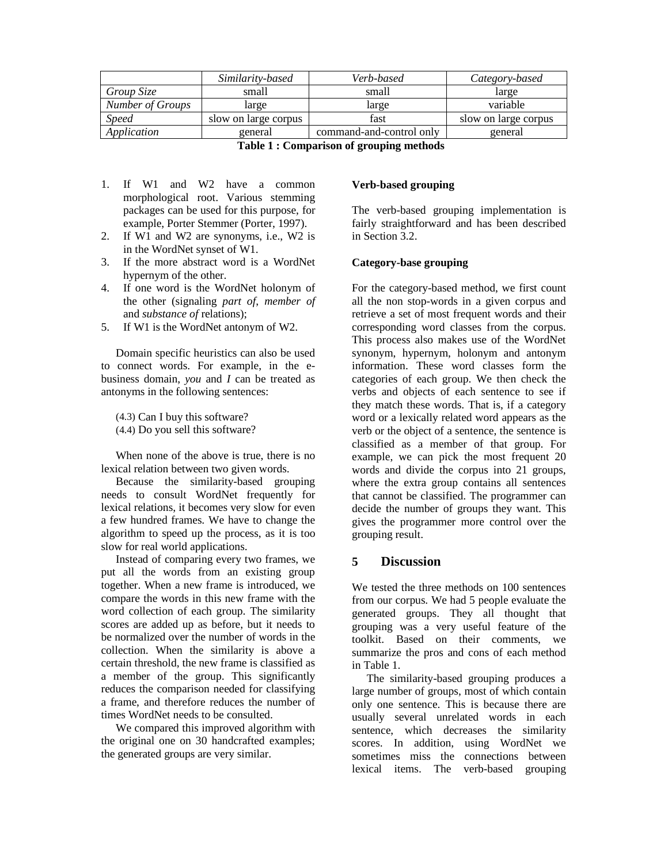|                                         | Similarity-based     | Verb-based               | Category-based       |  |  |  |  |
|-----------------------------------------|----------------------|--------------------------|----------------------|--|--|--|--|
| Group Size                              | small                | small                    | large                |  |  |  |  |
| <b>Number of Groups</b>                 | large                | large                    | variable             |  |  |  |  |
| <i>Speed</i>                            | slow on large corpus | fast                     | slow on large corpus |  |  |  |  |
| Application                             | general              | command-and-control only | general              |  |  |  |  |
| Table 1: Comparison of grouping methods |                      |                          |                      |  |  |  |  |

- 1. If W1 and W2 have a common morphological root. Various stemming packages can be used for this purpose, for
- example, Porter Stemmer (Porter, 1997). 2. If W1 and W2 are synonyms, i.e., W2 is in the WordNet synset of W1.
- 3. If the more abstract word is a WordNet hypernym of the other.
- 4. If one word is the WordNet holonym of the other (signaling *part of*, *member of* and *substance of* relations);
- 5. If W1 is the WordNet antonym of W2.

Domain specific heuristics can also be used to connect words. For example, in the ebusiness domain, *you* and *I* can be treated as antonyms in the following sentences:

- (4.3) Can I buy this software?
- (4.4) Do you sell this software?

When none of the above is true, there is no lexical relation between two given words.

Because the similarity-based grouping needs to consult WordNet frequently for lexical relations, it becomes very slow for even a few hundred frames. We have to change the algorithm to speed up the process, as it is too slow for real world applications.

Instead of comparing every two frames, we put all the words from an existing group together. When a new frame is introduced, we compare the words in this new frame with the word collection of each group. The similarity scores are added up as before, but it needs to be normalized over the number of words in the collection. When the similarity is above a certain threshold, the new frame is classified as a member of the group. This significantly reduces the comparison needed for classifying a frame, and therefore reduces the number of times WordNet needs to be consulted.

We compared this improved algorithm with the original one on 30 handcrafted examples; the generated groups are very similar.

#### **Verb-based grouping**

The verb-based grouping implementation is fairly straightforward and has been described in Section 3.2.

### **Category-base grouping**

For the category-based method, we first count all the non stop-words in a given corpus and retrieve a set of most frequent words and their corresponding word classes from the corpus. This process also makes use of the WordNet synonym, hypernym, holonym and antonym information. These word classes form the categories of each group. We then check the verbs and objects of each sentence to see if they match these words. That is, if a category word or a lexically related word appears as the verb or the object of a sentence, the sentence is classified as a member of that group. For example, we can pick the most frequent 20 words and divide the corpus into 21 groups, where the extra group contains all sentences that cannot be classified. The programmer can decide the number of groups they want. This gives the programmer more control over the grouping result.

## **5 Discussion**

We tested the three methods on 100 sentences from our corpus. We had 5 people evaluate the generated groups. They all thought that grouping was a very useful feature of the toolkit. Based on their comments, we summarize the pros and cons of each method in Table 1.

The similarity-based grouping produces a large number of groups, most of which contain only one sentence. This is because there are usually several unrelated words in each sentence, which decreases the similarity scores. In addition, using WordNet we sometimes miss the connections between lexical items. The verb-based grouping